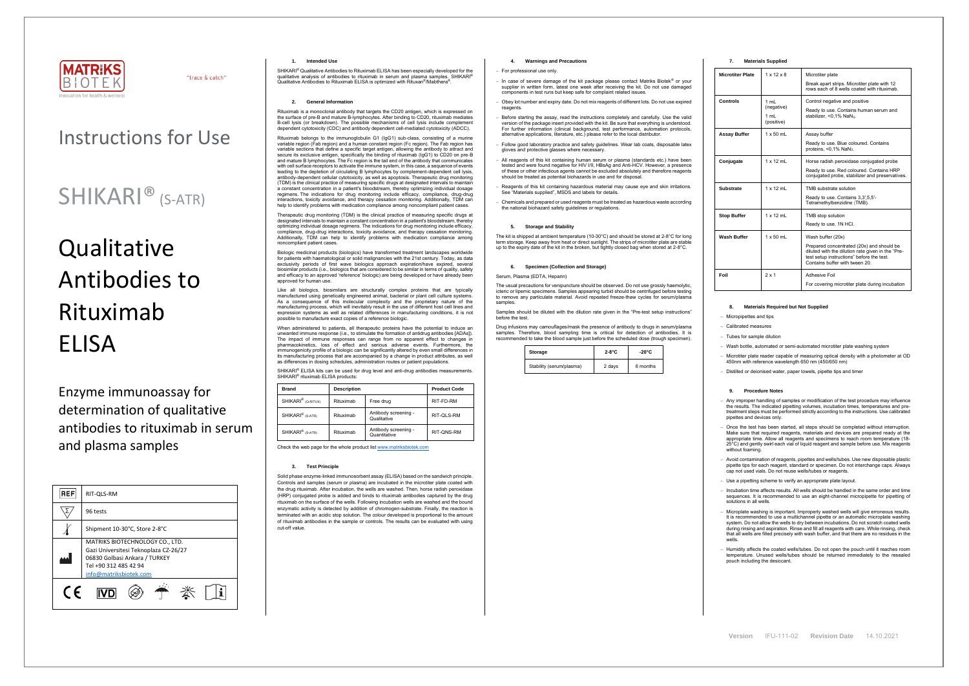

"trace & catch"

**Version** IFU-111-02 **Revision Date** 14.10.2021

## Instructions for Use

# **Qualitative** Antibodies to Rituximab ELISA

## SHIKARI® (S-ATR)

Enzyme immunoassay for determination of qualitative antibodies to rituximab in serum and plasma samples

| <b>REF</b>                                                                                                                                                   | RIT-QLS-RM                    |  |  |
|--------------------------------------------------------------------------------------------------------------------------------------------------------------|-------------------------------|--|--|
|                                                                                                                                                              | 96 tests                      |  |  |
|                                                                                                                                                              | Shipment 10-30°C, Store 2-8°C |  |  |
| MATRIKS BIOTECHNOLOGY CO., LTD.<br>Gazi Universitesi Teknoplaza CZ-26/27<br>06830 Golbasi Ankara / TURKEY<br>Tel +90 312 485 42 94<br>info@matriksbiotek.com |                               |  |  |
| C F                                                                                                                                                          |                               |  |  |

#### **1. Intended Use**

SHIKARI® Qualitative Antibodies to Rituximab ELISA has been especially developed for the qualitative analysis of antibodies to rituximab in serum and plasma samples. SHIKARI<sup>®</sup> Qualitative Antibodies to Rituximab ELISA is optimized with Rituxan<sup>®</sup>/Mabthera<sup>®</sup>.

## **2. General Information**

Rituximab is a monoclonal antibody that targets the CD20 antigen, which is expressed on the surface of pre-B and mature B-lymphocytes. After binding to CD20, rituximab mediates B-cell lysis (or breakdown). The possible mechanisms of cell lysis include complement dependent cytotoxicity (CDC) and antibody dependent cell-mediated cytotoxicity (ADCC).

Biologic medicinal products (biologics) have transformed treatment landscapes worldwide for patients with haematological or solid malignancies with the 21st century. Today, as data exclusivity periods of first wave biologics approach expiration/have expired, several biosimilar products (i.e., biologics that are considered to be similar in terms of quality, safety and efficacy to an approved 'reference' biologic) are being developed or have already been approved for human use

Rituximab belongs to the immunoglobulin G1 (IgG1) sub-class, consisting of a murine variable region (Fab region) and a human constant region (Fc region). The Fab region has variable sections that define a specific target antigen, allowing the antibody to attract and secure its exclusive antigen, specifically the binding of rituximab (IgG1) to CD20 on pre-B and mature B lymphocytes. The Fc region is the tail end of the antibody that communicates with cell surface receptors to activate the immune system, in this case, a sequence of events leading to the depletion of circulating B lymphocytes by complement-dependent cell lysis, antibody-dependent cellular cytotoxicity, as well as apoptosis. Therapeutic drug monitoring (TDM) is the clinical practice of measuring specific drugs at designated intervals to maintain a constant concentration in a patient's bloodstream, thereby optimizing individual dosage regimens. The indications for drug monitoring include efficacy, compliance, drug-drug interactions, toxicity avoidance, and therapy cessation monitoring. Additionally, TDM can help to identify problems with medication compliance among noncompliant patient cases.

When administered to patients, all therapeutic proteins have the potential to induce an unwanted immune response (i.e., to stimulate the formation of antidrug antibodies [ADAs]). The impact of immune responses can range from no apparent effect to changes in pharmacokinetics, loss of effect and serious adverse events. Furthermore, the immunogenicity profile of a biologic can be significantly altered by even small differences in its manufacturing process that are accompanied by a change in product attributes, as well as differences in dosing schedules, administration routes or patient populations.

SHIKARI<sup>®</sup> ELISA kits can be used for drug level and anti-drug antibodies measurements. SHIKARI<sup>®</sup> rituximab ELISA products:

Therapeutic drug monitoring (TDM) is the clinical practice of measuring specific drugs at designated intervals to maintain a constant concentration in a patient's bloodstream, thereby optimizing individual dosage regimens. The indications for drug monitoring include efficacy, compliance, drug-drug interactions, toxicity avoidance, and therapy cessation monitoring. Additionally, TDM can help to identify problems with medication compliance among noncompliant patient cases.

Like all biologics, biosimilars are structurally complex proteins that are typically manufactured using genetically engineered animal, bacterial or plant cell culture systems. As a consequence of this molecular complexity and the proprietary nature of the manufacturing process, which will inevitably result in the use of different host cell lines and expression systems as well as related differences in manufacturing conditions, it is not possible to manufacture exact copies of a reference biologic. The usual precautions for venipuncture should be observed. Do not use grossly haemolytic, icteric or lipemic specimens. Samples appearing turbid should be centrifuged before testing to remove any particulate material. Avoid repeated freeze-thaw cycles for serum/plasma samples

| <b>Brand</b>                   | <b>Description</b> |                                      | <b>Product Code</b> |
|--------------------------------|--------------------|--------------------------------------|---------------------|
| SHIKARI <sup>®</sup> (Q-RITUX) | Rituximab          | Free drug                            | RIT-FD-RM           |
| SHIKARI <sup>®</sup> (S-ATR)   | Rituximah          | Antibody screening -<br>Qualitative  | RIT-QLS-RM          |
| SHIKARI <sup>®</sup> (S-ATR)   | Rituximab          | Antibody screening -<br>Quantitative | RIT-ONS-RM          |

Check the web page for the whole product lis[t www.matriksbiotek.com](http://www.matriksbiotek.com/)

## **3. Test Principle**

− Once the test has been started, all steps should be completed without interruption. Make sure that required reagents, materials and devices are prepared ready at the appropriate time. Allow all reagents and specimens to reach room temperature (18- 25°C) and gently swirl each vial of liquid reagent and sample before use. Mix reagents without foaming

Solid phase enzyme-linked immunosorbent assay (ELISA) based on the sandwich principle. Controls and samples (serum or plasma) are incubated in the microtiter plate coated with the drug rituximab. After incubation, the wells are washed. Then, horse radish peroxidase (HRP) conjugated probe is added and binds to rituximab antibodies captured by the drug rituximab on the surface of the wells. Following incubation wells are washed and the bound enzymatic activity is detected by addition of chromogen-substrate. Finally, the reaction is terminated with an acidic stop solution. The colour developed is proportional to the amount of rituximab antibodies in the sample or controls. The results can be evaluated with using cut-off value.

− Incubation time affects results. All wells should be handled in the same order and time sequences. It is recommended to use an eight-channel micropipette for pipetting of solutions in all wells.

#### **4. Warnings and Precautions**

#### − For professional use only.

- − In case of severe damage of the kit package please contact Matriks Biotek® or your supplier in written form, latest one week after receiving the kit. Do not use damaged components in test runs but keep safe for complaint related issues.
- − Obey lot number and expiry date. Do not mix reagents of different lots. Do not use expired reagents
- Before starting the assay, read the instructions completely and carefully. Use the valid version of the package insert provided with the kit. Be sure that everything is understood. For further information (clinical background, test performance, automation protocols, alternative applications, literature, etc.) please refer to the local distributor.
- − Follow good laboratory practice and safety guidelines. Wear lab coats, disposable latex gloves and protective glasses where necessary.
- − All reagents of this kit containing human serum or plasma (standards etc.) have been tested and were found negative for HIV I/II, HBsAg and Anti-HCV. However, a presence of these or other infectious agents cannot be excluded absolutely and therefore reagents should be treated as potential biohazards in use and for disposal.
- − Reagents of this kit containing hazardous material may cause eye and skin irritations. See "Materials supplied", MSDS and labels for details.
- − Chemicals and prepared or used reagents must be treated as hazardous waste according the national biohazard safety guidelines or regulations.

## **5. Storage and Stability**

The kit is shipped at ambient temperature (10-30°C) and should be stored at 2-8°C for long term storage. Keep away from heat or direct sunlight. The strips of microtiter plate are stable up to the expiry date of the kit in the broken, but tightly closed bag when stored at 2-8°C.

#### **6. Specimen (Collection and Storage)**

#### Serum, Plasma (EDTA, Heparin)

Samples should be diluted with the dilution rate given in the "Pre-test setup instructions" before the test.

Drug infusions may camouflages/mask the presence of antibody to drugs in serum/plasma samples. Therefore, blood sampling time is critical for detection of antibodies. It is recommended to take the blood sample just before the scheduled dose (trough specimen).

| Storage                  | 2-8°C  | $-20^{\circ}$ C |
|--------------------------|--------|-----------------|
| Stability (serum/plasma) | 2 days | 6 months        |

## **7. Materials Supplied**

| <b>Microtiter Plate</b> | $1 \times 12 \times 8$                   | Microtiter plate<br>Break apart strips. Microtiter plate with 12<br>rows each of 8 wells coated with rituximab.                                                                                   |  |
|-------------------------|------------------------------------------|---------------------------------------------------------------------------------------------------------------------------------------------------------------------------------------------------|--|
| Controls                | 1 ml<br>(negative)<br>1 mL<br>(positive) | Control negative and positive<br>Ready to use. Contains human serum and<br>stabilizer, $< 0.1\%$ NaN <sub>3</sub> .                                                                               |  |
| <b>Assay Buffer</b>     | $1 \times 50$ mL                         | Assay buffer<br>Ready to use. Blue coloured. Contains<br>proteins, $< 0.1\%$ NaN <sub>3</sub> .                                                                                                   |  |
| Conjugate               | $1 \times 12$ mL                         | Horse radish peroxidase conjugated probe<br>Ready to use. Red coloured. Contains HRP<br>conjugated probe, stabilizer and preservatives.                                                           |  |
| Substrate               | $1 \times 12$ ml                         | TMB substrate solution<br>Ready to use. Contains 3,3',5,5'-<br>Tetramethylbenzidine (TMB).                                                                                                        |  |
| <b>Stop Buffer</b>      | $1 \times 12$ mL                         | TMB stop solution<br>Ready to use. 1N HCl.                                                                                                                                                        |  |
| <b>Wash Buffer</b>      | $1 \times 50$ mL                         | Wash buffer (20x)<br>Prepared concentrated (20x) and should be<br>diluted with the dilution rate given in the "Pre-<br>test setup instructions" before the test.<br>Contains buffer with tween 20 |  |
| Foil                    | $2 \times 1$                             | <b>Adhesive Foil</b><br>For covering microtiter plate during incubation                                                                                                                           |  |

## **8. Materials Required but Not Supplied**

− Micropipettes and tips

− Calibrated measures

− Tubes for sample dilution

− Wash bottle, automated or semi-automated microtiter plate washing system

− Microtiter plate reader capable of measuring optical density with a photometer at OD 450nm with reference wavelength 650 nm (450/650 nm)

− Distilled or deionised water, paper towels, pipette tips and timer

#### **9. Procedure Notes**

− Any improper handling of samples or modification of the test procedure may influence the results. The indicated pipetting volumes, incubation times, temperatures and pre-treatment steps must be performed strictly according to the instructions. Use calibrated pipettes and devices only.

− Avoid contamination of reagents, pipettes and wells/tubes. Use new disposable plastic pipette tips for each reagent, standard or specimen. Do not interchange caps. Always cap not used vials. Do not reuse wells/tubes or reagents.

− Use a pipetting scheme to verify an appropriate plate layout.

− Microplate washing is important. Improperly washed wells will give erroneous results. It is recommended to use a multichannel pipette or an automatic microplate washing system. Do not allow the wells to dry between incubations. Do not scratch coated wells during rinsing and aspiration. Rinse and fill all reagents with care. While rinsing, check that all wells are filled precisely with wash buffer, and that there are no residues in the wells.

− Humidity affects the coated wells/tubes. Do not open the pouch until it reaches room temperature. Unused wells/tubes should be returned immediately to the resealed pouch including the desiccant.